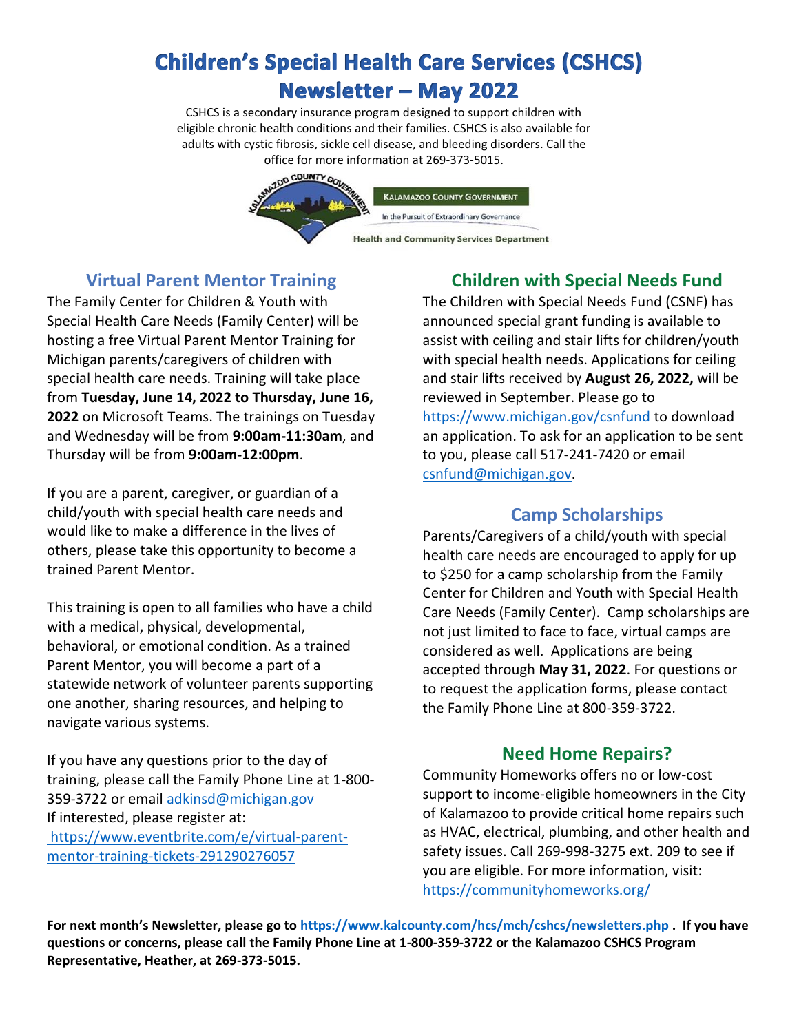# **Children's Special Health Care Services (CSHCS) Newsletter - May 2022**

CSHCS is a secondary insurance program designed to support children with eligible chronic health conditions and their families. CSHCS is also available for adults with cystic fibrosis, sickle cell disease, and bleeding disorders. Call the office for more information at 269-373-5015.



# **Virtual Parent Mentor Training**

The Family Center for Children & Youth with Special Health Care Needs (Family Center) will be hosting a free Virtual Parent Mentor Training for Michigan parents/caregivers of children with special health care needs. Training will take place from **Tuesday, June 14, 2022 to Thursday, June 16, 2022** on Microsoft Teams. The trainings on Tuesday and Wednesday will be from **9:00am-11:30am**, and Thursday will be from **9:00am-12:00pm**.

If you are a parent, caregiver, or guardian of a child/youth with special health care needs and would like to make a difference in the lives of others, please take this opportunity to become a trained Parent Mentor.

This training is open to all families who have a child with a medical, physical, developmental, behavioral, or emotional condition. As a trained Parent Mentor, you will become a part of a statewide network of volunteer parents supporting one another, sharing resources, and helping to navigate various systems.

If you have any questions prior to the day of training, please call the Family Phone Line at 1-800- 359-3722 or emai[l adkinsd@michigan.gov](mailto:adkinsd@michigan.gov) If interested, please register at: [https://www.eventbrite.com/e/virtual-parent](https://www.eventbrite.com/e/virtual-parent-mentor-training-tickets-291290276057)[mentor-training-tickets-291290276057](https://www.eventbrite.com/e/virtual-parent-mentor-training-tickets-291290276057)

# **Children with Special Needs Fund**

The Children with Special Needs Fund (CSNF) has announced special grant funding is available to assist with ceiling and stair lifts for children/youth with special health needs. Applications for ceiling and stair lifts received by **August 26, 2022,** will be reviewed in September. Please go to <https://www.michigan.gov/csnfund> to download an application. To ask for an application to be sent to you, please call 517-241-7420 or email [csnfund@michigan.gov.](file:///C:/Users/hlaalb/AppData/Local/Microsoft/Windows/INetCache/Content.Outlook/2QKX291V/csnfund@michigan.gov)

## **Camp Scholarships**

Parents/Caregivers of a child/youth with special health care needs are encouraged to apply for up to \$250 for a camp scholarship from the Family Center for Children and Youth with Special Health Care Needs (Family Center). Camp scholarships are not just limited to face to face, virtual camps are considered as well. Applications are being accepted through **May 31, 2022**. For questions or to request the application forms, please contact the Family Phone Line at 800-359-3722.

## **Need Home Repairs?**

Community Homeworks offers no or low-cost support to income-eligible homeowners in the City of Kalamazoo to provide critical home repairs such as HVAC, electrical, plumbing, and other health and safety issues. Call 269-998-3275 ext. 209 to see if you are eligible. For more information, visit: <https://communityhomeworks.org/>

**For next month's Newsletter, please go to <https://www.kalcounty.com/hcs/mch/cshcs/newsletters.php> . If you have questions or concerns, please call the Family Phone Line at 1-800-359-3722 or the Kalamazoo CSHCS Program Representative, Heather, at 269-373-5015.**